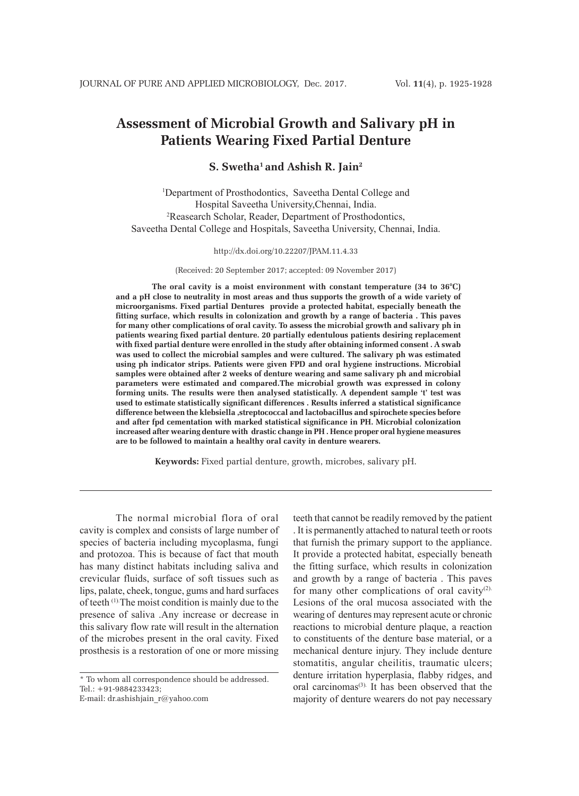# **Assessment of Microbial Growth and Salivary pH in Patients Wearing Fixed Partial Denture**

# **S. Swetha1 and Ashish R. Jain2**

1 Department of Prosthodontics, Saveetha Dental College and Hospital Saveetha University,Chennai, India. 2 Reasearch Scholar, Reader, Department of Prosthodontics, Saveetha Dental College and Hospitals, Saveetha University, Chennai, India.

http://dx.doi.org/10.22207/JPAM.11.4.33

(Received: 20 September 2017; accepted: 09 November 2017)

**The oral cavity is a moist environment with constant temperature (34 to 36°C) and a pH close to neutrality in most areas and thus supports the growth of a wide variety of microorganisms. Fixed partial Dentures provide a protected habitat, especially beneath the fitting surface, which results in colonization and growth by a range of bacteria . This paves for many other complications of oral cavity. To assess the microbial growth and salivary ph in patients wearing fixed partial denture. 20 partially edentulous patients desiring replacement with fixed partial denture were enrolled in the study after obtaining informed consent . A swab was used to collect the microbial samples and were cultured. The salivary ph was estimated using ph indicator strips. Patients were given FPD and oral hygiene instructions. Microbial samples were obtained after 2 weeks of denture wearing and same salivary ph and microbial parameters were estimated and compared.The microbial growth was expressed in colony forming units. The results were then analysed statistically. A dependent sample 't' test was used to estimate statistically significant differences . Results inferred a statistical significance difference between the klebsiella ,streptococcal and lactobacillus and spirochete species before and after fpd cementation with marked statistical significance in PH. Microbial colonization increased after wearing denture with drastic change in PH . Hence proper oral hygiene measures are to be followed to maintain a healthy oral cavity in denture wearers.**

**Keywords:** Fixed partial denture, growth, microbes, salivary pH.

The normal microbial flora of oral cavity is complex and consists of large number of species of bacteria including mycoplasma, fungi and protozoa. This is because of fact that mouth has many distinct habitats including saliva and crevicular fluids, surface of soft tissues such as lips, palate, cheek, tongue, gums and hard surfaces of teeth (1).The moist condition is mainly due to the presence of saliva .Any increase or decrease in this salivary flow rate will result in the alternation of the microbes present in the oral cavity. Fixed prosthesis is a restoration of one or more missing

\* To whom all correspondence should be addressed. Tel.: +91-9884233423;

E-mail: dr.ashishjain\_r@yahoo.com

teeth that cannot be readily removed by the patient . It is permanently attached to natural teeth or roots that furnish the primary support to the appliance. It provide a protected habitat, especially beneath the fitting surface, which results in colonization and growth by a range of bacteria . This paves for many other complications of oral cavity $(2)$ . Lesions of the oral mucosa associated with the wearing of dentures may represent acute or chronic reactions to microbial denture plaque, a reaction to constituents of the denture base material, or a mechanical denture injury. They include denture stomatitis, angular cheilitis, traumatic ulcers; denture irritation hyperplasia, flabby ridges, and oral carcinomas(3). It has been observed that the majority of denture wearers do not pay necessary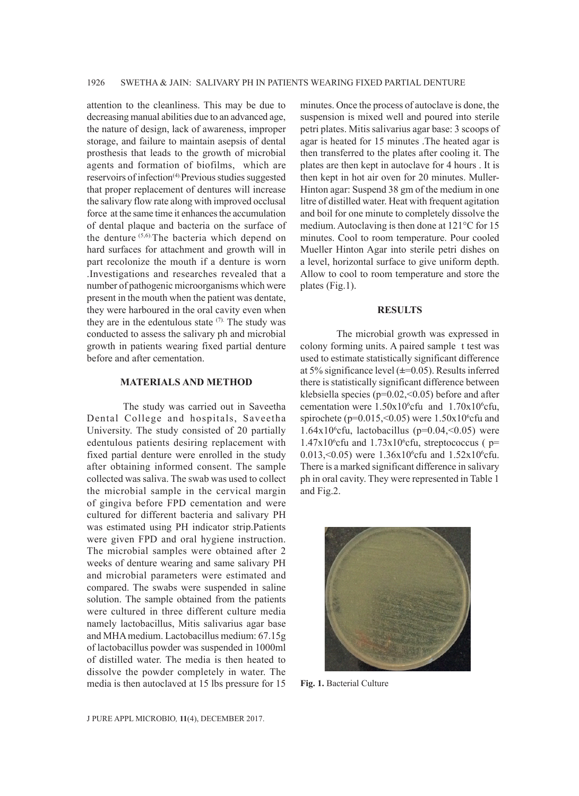attention to the cleanliness. This may be due to decreasing manual abilities due to an advanced age, the nature of design, lack of awareness, improper storage, and failure to maintain asepsis of dental prosthesis that leads to the growth of microbial agents and formation of biofilms, which are reservoirs of infection<sup>(4)</sup> Previous studies suggested that proper replacement of dentures will increase the salivary flow rate along with improved occlusal force at the same time it enhances the accumulation of dental plaque and bacteria on the surface of the denture (5,6).The bacteria which depend on hard surfaces for attachment and growth will in part recolonize the mouth if a denture is worn .Investigations and researches revealed that a number of pathogenic microorganisms which were present in the mouth when the patient was dentate, they were harboured in the oral cavity even when they are in the edentulous state  $(7)$ . The study was conducted to assess the salivary ph and microbial growth in patients wearing fixed partial denture before and after cementation.

### **MATERIALS AND METHOD**

The study was carried out in Saveetha Dental College and hospitals, Saveetha University. The study consisted of 20 partially edentulous patients desiring replacement with fixed partial denture were enrolled in the study after obtaining informed consent. The sample collected was saliva. The swab was used to collect the microbial sample in the cervical margin of gingiva before FPD cementation and were cultured for different bacteria and salivary PH was estimated using PH indicator strip.Patients were given FPD and oral hygiene instruction. The microbial samples were obtained after 2 weeks of denture wearing and same salivary PH and microbial parameters were estimated and compared. The swabs were suspended in saline solution. The sample obtained from the patients were cultured in three different culture media namely lactobacillus, Mitis salivarius agar base and MHA medium. Lactobacillus medium: 67.15g of lactobacillus powder was suspended in 1000ml of distilled water. The media is then heated to dissolve the powder completely in water. The media is then autoclaved at 15 lbs pressure for 15

minutes. Once the process of autoclave is done, the suspension is mixed well and poured into sterile petri plates. Mitis salivarius agar base: 3 scoops of agar is heated for 15 minutes .The heated agar is then transferred to the plates after cooling it. The plates are then kept in autoclave for 4 hours . It is then kept in hot air oven for 20 minutes. Muller-Hinton agar: Suspend 38 gm of the medium in one litre of distilled water. Heat with frequent agitation and boil for one minute to completely dissolve the medium. Autoclaving is then done at 121°C for 15 minutes. Cool to room temperature. Pour cooled Mueller Hinton Agar into sterile petri dishes on a level, horizontal surface to give uniform depth. Allow to cool to room temperature and store the plates (Fig.1).

#### **RESULTS**

The microbial growth was expressed in colony forming units. A paired sample t test was used to estimate statistically significant difference at 5% significance level (**±**=0.05). Results inferred there is statistically significant difference between klebsiella species ( $p=0.02, 0.05$ ) before and after cementation were  $1.50 \times 10^6$ cfu and  $1.70 \times 10^6$ cfu, spirochete ( $p=0.015, < 0.05$ ) were 1.50 $x10^6$ cfu and 1.64 $x10<sup>6</sup>$ cfu, lactobacillus (p=0.04, <0.05) were  $1.47x10^6$ cfu and  $1.73x10^6$ cfu, streptococcus ( p= 0.013, < 0.05) were  $1.36x10^6$  cfu and  $1.52x10^6$  cfu. There is a marked significant difference in salivary ph in oral cavity. They were represented in Table 1 and Fig.2.



**Fig. 1.** Bacterial Culture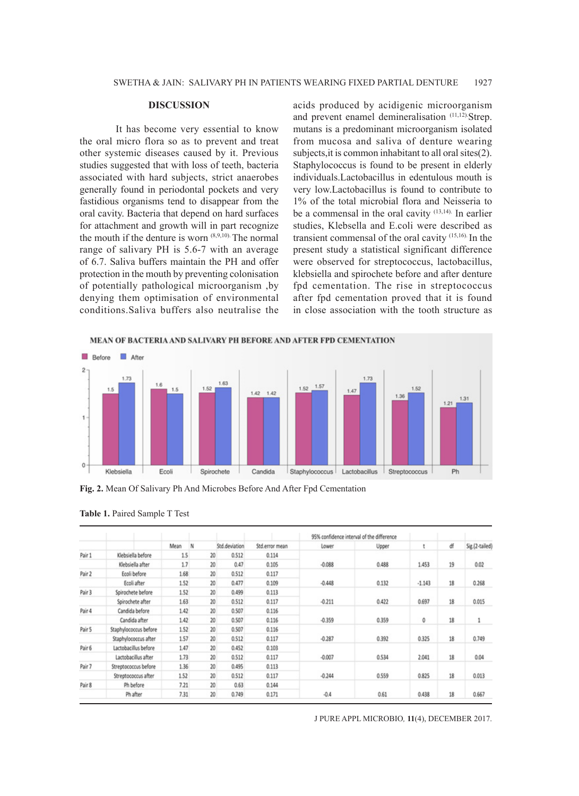#### **DISCUSSION**

It has become very essential to know the oral micro flora so as to prevent and treat other systemic diseases caused by it. Previous studies suggested that with loss of teeth, bacteria associated with hard subjects, strict anaerobes generally found in periodontal pockets and very fastidious organisms tend to disappear from the oral cavity. Bacteria that depend on hard surfaces for attachment and growth will in part recognize the mouth if the denture is worn (8,9,10). The normal range of salivary PH is 5.6-7 with an average of 6.7. Saliva buffers maintain the PH and offer protection in the mouth by preventing colonisation of potentially pathological microorganism ,by denying them optimisation of environmental conditions.Saliva buffers also neutralise the acids produced by acidigenic microorganism and prevent enamel demineralisation (11,12). Strep. mutans is a predominant microorganism isolated from mucosa and saliva of denture wearing subjects,it is common inhabitant to all oral sites(2). Staphylococcus is found to be present in elderly individuals.Lactobacillus in edentulous mouth is very low.Lactobacillus is found to contribute to 1% of the total microbial flora and Neisseria to be a commensal in the oral cavity  $(13,14)$ . In earlier studies, Klebsella and E.coli were described as transient commensal of the oral cavity (15,16). In the present study a statistical significant difference were observed for streptococcus, lactobacillus, klebsiella and spirochete before and after denture fpd cementation. The rise in streptococcus after fpd cementation proved that it is found in close association with the tooth structure as



**Fig. 2.** Mean Of Salivary Ph And Microbes Before And After Fpd Cementation

|        |                       | Mean | IN | Std.deviation | Std.error mean | 95% confidence interval of the difference |       |          |    |                |
|--------|-----------------------|------|----|---------------|----------------|-------------------------------------------|-------|----------|----|----------------|
|        |                       |      |    |               |                | Lower                                     | Upper |          | ďf | Sig.(2-tailed) |
| Pair 1 | Klebsiella before     | 1.5  | 20 | 0.512         | 0.114          |                                           |       |          |    |                |
|        | Klebsiella after      | 1.7  | 20 | 0.47          | 0.105          | $-0.088$                                  | 0.488 | 1.453    | 19 | 0.02           |
| Pair 2 | Ecoli before          | 1.68 | 20 | 0.512         | 0.117          |                                           |       |          |    |                |
|        | Ecoli after           | 1.52 | 20 | 0.477         | 0.109          | $-0.448$                                  | 0.132 | $-1.143$ | 18 | 0.268          |
| Pair 3 | Spirochete before     | 1.52 | 20 | 0.499         | 0.113          |                                           |       |          |    |                |
|        | Spirochete after      | 1.63 | 20 | 0.512         | 0.117          | $-0.211$                                  | 0.422 | 0.697    | 18 | 0.015          |
| Pair 4 | Candida before        | 1.42 | 20 | 0.507         | 0.116          | $-0.359$                                  | 0.359 | 0        | 18 | 1              |
|        | Candida after         | 1.42 | 20 | 0.507         | 0.116          |                                           |       |          |    |                |
| Pair 5 | Staphylococcus before | 1.52 | 20 | 0.507         | 0.116          | $-0.287$                                  | 0.392 | 0.325    | 18 | 0.749          |
|        | Staphylococcus after  | 1.57 | 20 | 0.512         | 0.117          |                                           |       |          |    |                |
| Pair 6 | Lactobacillus before  | 1.47 | 20 | 0.452         | 0.103          | $-0.007$                                  | 0.534 | 2.041    | 18 | 0.04           |
|        | Lactobacillus after   | 1.73 | 20 | 0.512         | 0.117          |                                           |       |          |    |                |
| Pair 7 | Streptococcus before  | 1.36 | 20 | 0.495         | 0.113          |                                           |       |          |    |                |
|        | Streptococcus after   | 1.52 | 20 | 0.512         | 0.117          | $-0.244$                                  | 0.559 | 0.825    | 18 | 0.013          |
| Pair 8 | Ph before             | 7.21 | 20 | 0.63          | 0.144          | $-0.4$                                    | 0.61  | 0.438    | 18 | 0.667          |
|        | Ph after              | 7.31 | 20 | 0.749         | 0.171          |                                           |       |          |    |                |

**Table 1.** Paired Sample T Test

J PURE APPL MICROBIO*,* **11**(4), DECEMBER 2017.